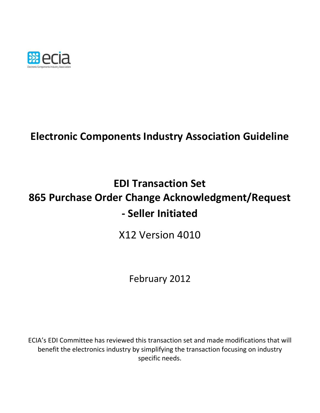

# **Electronic Components Industry Association Guideline**

# **EDI Transaction Set 865 Purchase Order Change Acknowledgment/Request - Seller Initiated**

X12 Version 4010

February 2012

ECIA's EDI Committee has reviewed this transaction set and made modifications that will benefit the electronics industry by simplifying the transaction focusing on industry specific needs.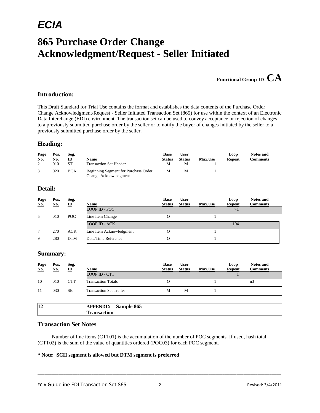## *ECIA*

### **865 Purchase Order Change Acknowledgment/Request - Seller Initiated**



#### **Introduction:**

This Draft Standard for Trial Use contains the format and establishes the data contents of the Purchase Order Change Acknowledgment/Request - Seller Initiated Transaction Set (865) for use within the context of an Electronic Data Interchange (EDI) environment. The transaction set can be used to convey acceptance or rejection of changes to a previously submitted purchase order by the seller or to notify the buyer of changes initiated by the seller to a previously submitted purchase order by the seller.

 $\_$  , and the state of the state of the state of the state of the state of the state of the state of the state of the state of the state of the state of the state of the state of the state of the state of the state of the

#### **Heading:**

| Page<br><u>No.</u><br>$\mathcal{L}$ | Pos.<br><u>No.</u><br>010 | Seg.<br>ID<br><b>ST</b> | Name<br><b>Transaction Set Header</b>                         | Base<br><b>Status</b><br>М | User<br><b>Status</b><br>М | <b>Max.Use</b> | Loop<br><b>Repeat</b> | <b>Notes and</b><br>Comments |
|-------------------------------------|---------------------------|-------------------------|---------------------------------------------------------------|----------------------------|----------------------------|----------------|-----------------------|------------------------------|
|                                     | 020                       | <b>BCA</b>              | Beginning Segment for Purchase Order<br>Change Acknowledgment | M                          | M                          |                |                       |                              |

#### **Detail:**

| Page<br><u>No.</u> | Pos.<br><u>No.</u> | Seg.<br>$\underline{\mathbf{ID}}$ | Name                     | <b>Base</b><br><b>Status</b> | <b>User</b><br><b>Status</b> | <b>Max.Use</b> | Loop<br><b>Repeat</b> | <b>Notes and</b><br><b>Comments</b> |
|--------------------|--------------------|-----------------------------------|--------------------------|------------------------------|------------------------------|----------------|-----------------------|-------------------------------------|
|                    |                    |                                   | LOOP ID - POC            |                              |                              |                | >1                    |                                     |
| 5                  | 010                | <b>POC</b>                        | Line Item Change         | O                            |                              |                |                       |                                     |
|                    |                    |                                   | <b>LOOP ID - ACK</b>     |                              |                              |                | 104                   |                                     |
| 7                  | 270                | <b>ACK</b>                        | Line Item Acknowledgment | О                            |                              |                |                       |                                     |
| 9                  | 280                | <b>DTM</b>                        | Date/Time Reference      | O                            |                              |                |                       |                                     |

#### **Summary:**

| Page<br>No. | Pos.<br><b>No.</b> | Seg.<br>$\mathbf{D}$ | Name                           | <b>Base</b><br><b>Status</b> | <b>User</b><br><b>Status</b> | <b>Max.Use</b> | Loop<br><b>Repeat</b> | <b>Notes and</b><br><b>Comments</b> |
|-------------|--------------------|----------------------|--------------------------------|------------------------------|------------------------------|----------------|-----------------------|-------------------------------------|
|             |                    |                      | LOOP ID - CTT                  |                              |                              |                |                       |                                     |
| 10          | 010                | <b>CTT</b>           | <b>Transaction Totals</b>      | 0                            |                              |                |                       | n <sub>3</sub>                      |
| 11          | 030                | SЕ                   | <b>Transaction Set Trailer</b> | M                            | М                            |                |                       |                                     |
|             |                    |                      |                                |                              |                              |                |                       |                                     |

| 12 | <b>APPENDIX – Sample 865</b> |
|----|------------------------------|
|    | <b>'`ransaction</b>          |

#### **Transaction Set Notes**

Number of line items (CTT01) is the accumulation of the number of POC segments. If used, hash total (CTT02) is the sum of the value of quantities ordered (POC03) for each POC segment.

#### **\* Note: SCH segment is allowed but DTM segment is preferred**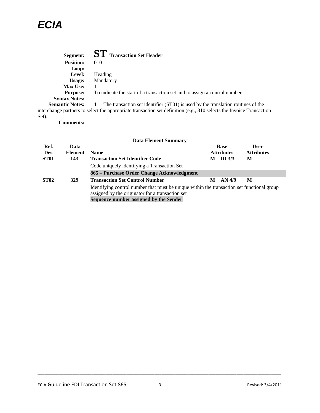| Segment:               | <b>ST</b> Transaction Set Header                                                 |
|------------------------|----------------------------------------------------------------------------------|
| <b>Position:</b>       | 010                                                                              |
| Loop:                  |                                                                                  |
| Level:                 | Heading                                                                          |
| Usage:                 | Mandatory                                                                        |
| <b>Max Use:</b>        |                                                                                  |
| <b>Purpose:</b>        | To indicate the start of a transaction set and to assign a control number        |
| <b>Syntax Notes:</b>   |                                                                                  |
| <b>Semantic Notes:</b> | The transaction set identifier (ST01) is used by the translation routines of the |
|                        |                                                                                  |

interchange partners to select the appropriate transaction set definition (e.g., 810 selects the Invoice Transaction Set).

**Comments:**

|                  |                | <b>Data Element Summary</b>                                                                                                                                                              |   |                   |                   |
|------------------|----------------|------------------------------------------------------------------------------------------------------------------------------------------------------------------------------------------|---|-------------------|-------------------|
| Ref.             | Data           |                                                                                                                                                                                          |   | <b>Base</b>       | <b>User</b>       |
| Des.             | <b>Element</b> | <b>Name</b>                                                                                                                                                                              |   | <b>Attributes</b> | <b>Attributes</b> |
| ST <sub>01</sub> | 143            | <b>Transaction Set Identifier Code</b>                                                                                                                                                   | М | ID <sub>3/3</sub> | М                 |
|                  |                | Code uniquely identifying a Transaction Set                                                                                                                                              |   |                   |                   |
|                  |                | 865 – Purchase Order Change Acknowledgment                                                                                                                                               |   |                   |                   |
| ST <sub>02</sub> | <b>329</b>     | <b>Transaction Set Control Number</b>                                                                                                                                                    | М | AN 4/9            | M                 |
|                  |                | Identifying control number that must be unique within the transaction set functional group<br>assigned by the originator for a transaction set<br>Sequence number assigned by the Sender |   |                   |                   |

#### ECIA Guideline EDI Transaction Set 865 3 Revised: 3/4/2011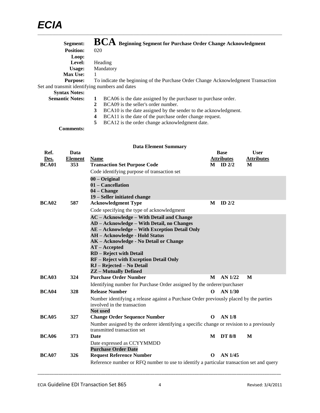| Segment:                                       | BCA Beginning Segment for Purchase Order Change Acknowledgment                     |
|------------------------------------------------|------------------------------------------------------------------------------------|
| <b>Position:</b>                               | 020                                                                                |
| Loop:                                          |                                                                                    |
| Level:                                         | Heading                                                                            |
| Usage:                                         | Mandatory                                                                          |
| <b>Max Use:</b>                                |                                                                                    |
| <b>Purpose:</b>                                | To indicate the beginning of the Purchase Order Change Acknowledgment Transaction  |
| Set and transmit identifying numbers and dates |                                                                                    |
| <b>Syntax Notes:</b>                           |                                                                                    |
| <b>Semantic Notes:</b>                         | BCA06 is the date assigned by the purchaser to purchase order.<br>1                |
|                                                | BCA09 is the seller's order number.<br>2                                           |
|                                                | 3<br>BCA10 is the date assigned by the sender to the acknowledgment.               |
|                                                | BCA11 is the date of the purchase order change request.<br>$\overline{\mathbf{4}}$ |
|                                                | 5<br>BCA12 is the order change acknowledgment date.                                |
| Comments:                                      |                                                                                    |
|                                                |                                                                                    |

|              |                | <b>Data Element Summary</b>                                                              |          |                   |                   |
|--------------|----------------|------------------------------------------------------------------------------------------|----------|-------------------|-------------------|
| Ref.         | Data           |                                                                                          |          | <b>Base</b>       | <b>User</b>       |
| Des.         | <b>Element</b> | <b>Name</b>                                                                              |          | <b>Attributes</b> | <b>Attributes</b> |
| BCA01        | 353            | <b>Transaction Set Purpose Code</b>                                                      |          | $M$ ID $2/2$      | M                 |
|              |                | Code identifying purpose of transaction set                                              |          |                   |                   |
|              |                | $00 - Original$                                                                          |          |                   |                   |
|              |                | 01 – Cancellation                                                                        |          |                   |                   |
|              |                | 04 – Change                                                                              |          |                   |                   |
|              |                | 19 – Seller initiated change                                                             |          |                   |                   |
| BCA02        | 587            | <b>Acknowledgment Type</b>                                                               | M        | ID $2/2$          |                   |
|              |                | Code specifying the type of acknowledgment                                               |          |                   |                   |
|              |                | <b>AC</b> – Acknowledge – With Detail and Change                                         |          |                   |                   |
|              |                | AD - Acknowledge - With Detail, no Changes                                               |          |                   |                   |
|              |                | AE - Acknowledge - With Exception Detail Only<br><b>AH</b> – Acknowledge - Hold Status   |          |                   |                   |
|              |                | AK - Acknowledge - No Detail or Change                                                   |          |                   |                   |
|              |                | $AT - Accepted$                                                                          |          |                   |                   |
|              |                | <b>RD</b> – Reject with Detail                                                           |          |                   |                   |
|              |                | <b>RF</b> – Reject with Exception Detail Only                                            |          |                   |                   |
|              |                | RJ - Rejected - No Detail                                                                |          |                   |                   |
|              |                | <b>ZZ-Mutually Defined</b>                                                               |          |                   |                   |
| BCA03        | 324            | <b>Purchase Order Number</b>                                                             | M        | AN 1/22           | M                 |
|              |                | Identifying number for Purchase Order assigned by the orderer/purchaser                  |          |                   |                   |
| BCA04        | 328            | <b>Release Number</b>                                                                    | $\Omega$ | AN 1/30           |                   |
|              |                | Number identifying a release against a Purchase Order previously placed by the parties   |          |                   |                   |
|              |                | involved in the transaction                                                              |          |                   |                   |
|              |                | <b>Not</b> used                                                                          |          |                   |                   |
| BCA05        | 327            | <b>Change Order Sequence Number</b>                                                      | O        | <b>AN 1/8</b>     |                   |
|              |                | Number assigned by the orderer identifying a specific change or revision to a previously |          |                   |                   |
|              |                | transmitted transaction set                                                              |          |                   |                   |
| <b>BCA06</b> | 373            | <b>Date</b>                                                                              | M        | <b>DT 8/8</b>     | M                 |
|              |                | Date expressed as CCYYMMDD                                                               |          |                   |                   |
|              |                | <b>Purchase Order Date</b>                                                               |          |                   |                   |
| BCA07        | 326            | <b>Request Reference Number</b>                                                          | O        | AN 1/45           |                   |
|              |                | Reference number or RFQ number to use to identify a particular transaction set and query |          |                   |                   |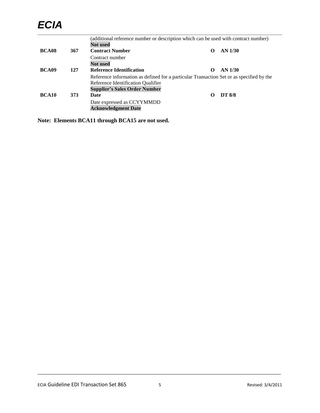### *ECIA*  $\_$  , and the state of the state of the state of the state of the state of the state of the state of the state of the state of the state of the state of the state of the state of the state of the state of the state of the

|                   |     | (additional reference number or description which can be used with contract number)      |                   |               |
|-------------------|-----|------------------------------------------------------------------------------------------|-------------------|---------------|
|                   |     | <b>Not used</b>                                                                          |                   |               |
| <b>BCA08</b>      | 367 | <b>Contract Number</b>                                                                   | $\Omega$          | $AN$ 1/30     |
|                   |     | Contract number                                                                          |                   |               |
|                   |     | <b>Not</b> used                                                                          |                   |               |
| BCA09             | 127 | <b>Reference Identification</b>                                                          | $\mathbf{\Omega}$ | $AN$ 1/30     |
|                   |     | Reference information as defined for a particular Transaction Set or as specified by the |                   |               |
|                   |     | Reference Identification Qualifier                                                       |                   |               |
|                   |     | <b>Supplier's Sales Order Number</b>                                                     |                   |               |
| BCA <sub>10</sub> | 373 | Date                                                                                     |                   | <b>DT 8/8</b> |
|                   |     | Date expressed as CCYYMMDD                                                               |                   |               |
|                   |     | <b>Acknowledgment Date</b>                                                               |                   |               |

**Note: Elements BCA11 through BCA15 are not used.**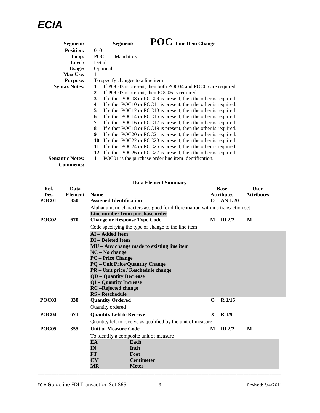| Segment:               |            | Segment:                                     | POC Line Item Change                                             |  |
|------------------------|------------|----------------------------------------------|------------------------------------------------------------------|--|
| <b>Position:</b>       | 010        |                                              |                                                                  |  |
| Loop:                  | <b>POC</b> | Mandatory                                    |                                                                  |  |
| Level:                 | Detail     |                                              |                                                                  |  |
| Usage:                 | Optional   |                                              |                                                                  |  |
| <b>Max Use:</b>        | 1          |                                              |                                                                  |  |
| <b>Purpose:</b>        |            | To specify changes to a line item            |                                                                  |  |
| <b>Syntax Notes:</b>   |            |                                              | If POC03 is present, then both POC04 and POC05 are required.     |  |
|                        | 2          | If POC07 is present, then POC06 is required. |                                                                  |  |
|                        | 3          |                                              | If either POC08 or POC09 is present, then the other is required. |  |
|                        | 4          |                                              | If either POC10 or POC11 is present, then the other is required. |  |
|                        | 5          |                                              | If either POC12 or POC13 is present, then the other is required. |  |
|                        | 6          |                                              | If either POC14 or POC15 is present, then the other is required. |  |
|                        | 7          |                                              | If either POC16 or POC17 is present, then the other is required. |  |
|                        | 8          |                                              | If either POC18 or POC19 is present, then the other is required. |  |
|                        | 9          |                                              | If either POC20 or POC21 is present, then the other is required. |  |
|                        | 10         |                                              | If either POC22 or POC23 is present, then the other is required. |  |
|                        | 11         |                                              | If either POC24 or POC25 is present, then the other is required. |  |
|                        | 12         |                                              | If either POC26 or POC27 is present, then the other is required. |  |
| <b>Semantic Notes:</b> |            |                                              | POC01 is the purchase order line item identification.            |  |
| <b>Comments:</b>       |            |                                              |                                                                  |  |

|                           |         |                                     | <b>Data Element Summary</b>                                                          |              |                   |                   |
|---------------------------|---------|-------------------------------------|--------------------------------------------------------------------------------------|--------------|-------------------|-------------------|
| Ref.                      | Data    |                                     |                                                                                      |              | <b>Base</b>       | <b>User</b>       |
| Des.                      | Element | Name                                |                                                                                      |              | <b>Attributes</b> | <b>Attributes</b> |
| POC01                     | 350     | <b>Assigned Identification</b>      |                                                                                      | $\Omega$     | <b>AN 1/20</b>    |                   |
|                           |         |                                     | Alphanumeric characters assigned for differentiation within a transaction set        |              |                   |                   |
|                           |         |                                     | Line number from purchase order                                                      |              |                   |                   |
| POC <sub>02</sub>         | 670     | <b>Change or Response Type Code</b> |                                                                                      | M            | ID $2/2$          | M                 |
|                           |         |                                     | Code specifying the type of change to the line item                                  |              |                   |                   |
|                           |         | <b>AI-Added Item</b>                |                                                                                      |              |                   |                   |
|                           |         | <b>DI</b> - Deleted Item            |                                                                                      |              |                   |                   |
|                           |         |                                     | $MU - Any change made to existing line item$                                         |              |                   |                   |
|                           |         | $NC - No$ change                    |                                                                                      |              |                   |                   |
|                           |         | <b>PC</b> – Price Change            |                                                                                      |              |                   |                   |
|                           |         |                                     | <b>PQ</b> – Unit Price/Quantity Change<br><b>PR</b> – Unit price / Reschedule change |              |                   |                   |
|                           |         | <b>QD</b> - Quantity Decrease       |                                                                                      |              |                   |                   |
|                           |         | QI - Quantity Increase              |                                                                                      |              |                   |                   |
|                           |         | <b>RC</b> -Rejected change          |                                                                                      |              |                   |                   |
|                           |         | <b>RS</b> - Reschedule              |                                                                                      |              |                   |                   |
| POC <sub>03</sub>         | 330     | <b>Quantity Ordered</b>             |                                                                                      | $\bf{0}$     | R <sub>1/15</sub> |                   |
|                           |         | Quantity ordered                    |                                                                                      |              |                   |                   |
| POC <sub>04</sub>         | 671     | <b>Quantity Left to Receive</b>     |                                                                                      | $\mathbf{x}$ | R1/9              |                   |
|                           |         |                                     | Quantity left to receive as qualified by the unit of measure                         |              |                   |                   |
| <b>POC05</b>              | 355     | <b>Unit of Measure Code</b>         |                                                                                      | M            | $ID$ 2/2          | M                 |
|                           |         |                                     | To identify a composite unit of measure                                              |              |                   |                   |
|                           |         | EA                                  | Each                                                                                 |              |                   |                   |
|                           |         | IN                                  | Inch                                                                                 |              |                   |                   |
|                           |         | FT                                  | Foot                                                                                 |              |                   |                   |
|                           |         | <b>CM</b>                           | <b>Centimeter</b>                                                                    |              |                   |                   |
| $\bf{MR}$<br><b>Meter</b> |         |                                     |                                                                                      |              |                   |                   |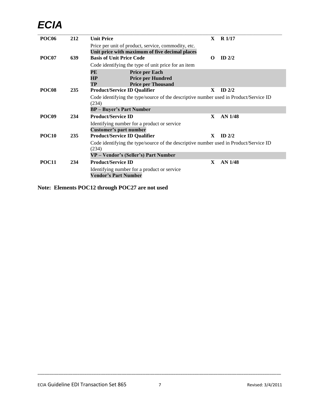# *ECIA*

| <b>POC06</b>      | 212 | <b>Unit Price</b>                                                                              | X. | R <sub>1/17</sub> |  |  |  |
|-------------------|-----|------------------------------------------------------------------------------------------------|----|-------------------|--|--|--|
|                   |     | Price per unit of product, service, commodity, etc.                                            |    |                   |  |  |  |
|                   |     | Unit price with maximum of five decimal places                                                 |    |                   |  |  |  |
| <b>POC07</b>      | 639 | <b>Basis of Unit Price Code</b>                                                                | O  | ID $2/2$          |  |  |  |
|                   |     | Code identifying the type of unit price for an item                                            |    |                   |  |  |  |
|                   |     | PE<br><b>Price per Each</b>                                                                    |    |                   |  |  |  |
|                   |     | <b>Price per Hundred</b><br>HP                                                                 |    |                   |  |  |  |
|                   |     | <b>TP</b><br><b>Price per Thousand</b>                                                         |    |                   |  |  |  |
| POC <sub>08</sub> | 235 | <b>Product/Service ID Qualifier</b>                                                            | X  | $ID$ 2/2          |  |  |  |
|                   |     | Code identifying the type/source of the descriptive number used in Product/Service ID          |    |                   |  |  |  |
|                   |     | (234)                                                                                          |    |                   |  |  |  |
|                   |     | <b>BP</b> – Buyer's Part Number                                                                |    |                   |  |  |  |
| POC <sub>09</sub> | 234 | <b>Product/Service ID</b>                                                                      | X  | <b>AN 1/48</b>    |  |  |  |
|                   |     | Identifying number for a product or service                                                    |    |                   |  |  |  |
|                   |     | <b>Customer's part number</b>                                                                  |    |                   |  |  |  |
| <b>POC10</b>      | 235 | <b>Product/Service ID Qualifier</b>                                                            | X. | ID $2/2$          |  |  |  |
|                   |     | Code identifying the type/source of the descriptive number used in Product/Service ID<br>(234) |    |                   |  |  |  |
|                   |     | VP - Vendor's (Seller's) Part Number                                                           |    |                   |  |  |  |
| <b>POC11</b>      | 234 | <b>Product/Service ID</b>                                                                      | X  | <b>AN 1/48</b>    |  |  |  |
|                   |     | Identifying number for a product or service                                                    |    |                   |  |  |  |
|                   |     | <b>Vendor's Part Number</b>                                                                    |    |                   |  |  |  |

**Note: Elements POC12 through POC27 are not used**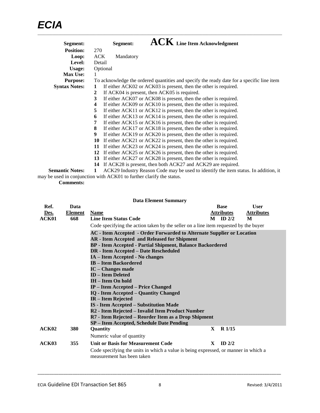| Segment:               | $\mathbf{ACK}\,$ Line Item Acknowledgment<br>Segment:                                     |
|------------------------|-------------------------------------------------------------------------------------------|
| <b>Position:</b>       | 270                                                                                       |
| Loop:                  | ACK.<br>Mandatory                                                                         |
| Level:                 | Detail                                                                                    |
| Usage:                 | Optional                                                                                  |
| <b>Max Use:</b>        | 1                                                                                         |
| <b>Purpose:</b>        | To acknowledge the ordered quantities and specify the ready date for a specific line item |
| <b>Syntax Notes:</b>   | If either ACK02 or ACK03 is present, then the other is required.                          |
|                        | If ACK04 is present, then ACK05 is required.<br>2                                         |
|                        | If either ACK07 or ACK08 is present, then the other is required.<br>3                     |
|                        | If either ACK09 or ACK10 is present, then the other is required.<br>4                     |
|                        | If either ACK11 or ACK12 is present, then the other is required.<br>5                     |
|                        | If either ACK13 or ACK14 is present, then the other is required.<br>6                     |
|                        | If either ACK15 or ACK16 is present, then the other is required.<br>7                     |
|                        | If either ACK17 or ACK18 is present, then the other is required.<br>8                     |
|                        | If either ACK19 or ACK20 is present, then the other is required.<br>9                     |
|                        | If either ACK21 or ACK22 is present, then the other is required.<br>10                    |
|                        | If either ACK23 or ACK24 is present, then the other is required.<br>11                    |
|                        | 12 If either ACK25 or ACK26 is present, then the other is required.                       |
|                        | 13 If either ACK27 or ACK28 is present, then the other is required.                       |
|                        | If ACK28 is present, then both ACK27 and ACK29 are required.<br>14                        |
| <b>Semantic Notes:</b> | ACK29 Industry Reason Code may be used to identify the item status. In addition, it<br>1  |

may be used in conjunction with ACK01 to further clarify the status.

**Comments:**

|                       |                        | <b>Data Element Summary</b>                                                                                                                                                                                                                                                                                                                                                                                                                                                                                                                                                                                                                                                                                                     |              |                                                  |                                       |  |  |  |
|-----------------------|------------------------|---------------------------------------------------------------------------------------------------------------------------------------------------------------------------------------------------------------------------------------------------------------------------------------------------------------------------------------------------------------------------------------------------------------------------------------------------------------------------------------------------------------------------------------------------------------------------------------------------------------------------------------------------------------------------------------------------------------------------------|--------------|--------------------------------------------------|---------------------------------------|--|--|--|
| Ref.<br>Des.<br>ACK01 | Data<br>Element<br>668 | <b>Name</b><br><b>Line Item Status Code</b>                                                                                                                                                                                                                                                                                                                                                                                                                                                                                                                                                                                                                                                                                     |              | <b>Base</b><br><b>Attributes</b><br>$M$ ID $2/2$ | <b>User</b><br><b>Attributes</b><br>M |  |  |  |
|                       |                        | Code specifying the action taken by the seller on a line item requested by the buyer                                                                                                                                                                                                                                                                                                                                                                                                                                                                                                                                                                                                                                            |              |                                                  |                                       |  |  |  |
|                       |                        | AC - Item Accepted - Order Forwarded to Alternate Supplier or Location<br><b>AR</b> - Item Accepted and Released for Shipment<br><b>BP</b> - Item Accepted - Partial Shipment, Balance Backordered<br><b>DR</b> - Item Accepted - Date Rescheduled<br>IA - Item Accepted - No changes<br><b>IB</b> – Item Backordered<br>$IC$ – Changes made<br><b>ID-Item Deleted</b><br><b>IH</b> – Item On hold<br><b>IP</b> – Item Accepted – Price Changed<br><b>IQ</b> - Item Accepted – Quantity Changed<br>IR - Item Rejected<br><b>IS - Item Accepted - Substitution Made</b><br>R2 - Item Rejected - Invalid Item Product Number<br>R7 - Item Rejected – Reorder Item as a Drop Shipment<br>SP - Item Accepted, Schedule Date Pending |              |                                                  |                                       |  |  |  |
| ACK <sub>02</sub>     | 380                    | <b>Ouantity</b>                                                                                                                                                                                                                                                                                                                                                                                                                                                                                                                                                                                                                                                                                                                 | $\mathbf{X}$ | $R$ 1/15                                         |                                       |  |  |  |
|                       |                        | Numeric value of quantity                                                                                                                                                                                                                                                                                                                                                                                                                                                                                                                                                                                                                                                                                                       |              |                                                  |                                       |  |  |  |
| ACK <sub>03</sub>     | 355                    | <b>Unit or Basis for Measurement Code</b>                                                                                                                                                                                                                                                                                                                                                                                                                                                                                                                                                                                                                                                                                       | X.           | $ID$ 2/2                                         |                                       |  |  |  |
|                       |                        | Code specifying the units in which a value is being expressed, or manner in which a<br>measurement has been taken                                                                                                                                                                                                                                                                                                                                                                                                                                                                                                                                                                                                               |              |                                                  |                                       |  |  |  |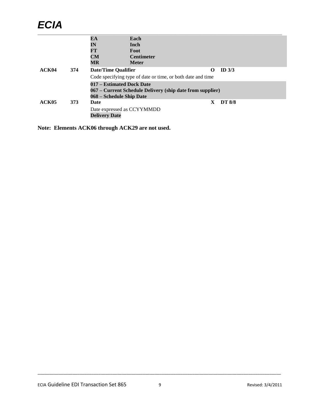|                   |     | EA                         | Each                                                        |   |               |  |
|-------------------|-----|----------------------------|-------------------------------------------------------------|---|---------------|--|
|                   |     | IN                         | Inch                                                        |   |               |  |
|                   |     | FT                         | Foot                                                        |   |               |  |
|                   |     | CM                         | <b>Centimeter</b>                                           |   |               |  |
|                   |     | $\overline{\text{MR}}$     | <b>Meter</b>                                                |   |               |  |
| ACK04             | 374 | <b>Date/Time Qualifier</b> |                                                             | O | ID $3/3$      |  |
|                   |     |                            | Code specifying type of date or time, or both date and time |   |               |  |
|                   |     |                            | 017 – Estimated Dock Date                                   |   |               |  |
|                   |     |                            | 067 – Current Schedule Delivery (ship date from supplier)   |   |               |  |
|                   |     |                            | 068 – Schedule Ship Date                                    |   |               |  |
| ACK <sub>05</sub> | 373 | Date                       |                                                             | X | <b>DT 8/8</b> |  |
|                   |     |                            | Date expressed as CCYYMMDD                                  |   |               |  |
|                   |     | <b>Delivery Date</b>       |                                                             |   |               |  |

**Note: Elements ACK06 through ACK29 are not used.**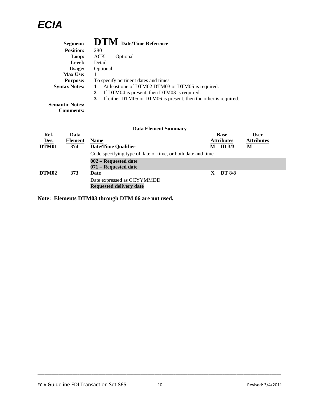| Segment:               | <b>DTM</b> Date/Time Reference                                        |
|------------------------|-----------------------------------------------------------------------|
| <b>Position:</b>       | 280                                                                   |
| Loop:                  | ACK<br>Optional                                                       |
| Level:                 | Detail                                                                |
| Usage:                 | Optional                                                              |
| <b>Max Use:</b>        |                                                                       |
| <b>Purpose:</b>        | To specify pertinent dates and times                                  |
| <b>Syntax Notes:</b>   | At least one of DTM02 DTM03 or DTM05 is required.                     |
|                        | If DTM04 is present, then DTM03 is required.<br>2                     |
|                        | If either DTM05 or DTM06 is present, then the other is required.<br>3 |
| <b>Semantic Notes:</b> |                                                                       |
| <b>Comments:</b>       |                                                                       |

|                   |         | Data Element Summary                                        |   |                   |                   |
|-------------------|---------|-------------------------------------------------------------|---|-------------------|-------------------|
| Ref.              | Data    |                                                             |   | <b>Base</b>       | <b>User</b>       |
| Des.              | Element | <b>Name</b>                                                 |   | <b>Attributes</b> | <b>Attributes</b> |
| DTM01             | 374     | <b>Date/Time Qualifier</b>                                  | М | ID <sub>3/3</sub> | M                 |
|                   |         | Code specifying type of date or time, or both date and time |   |                   |                   |
|                   |         | 002 – Requested date                                        |   |                   |                   |
|                   |         | 071 – Requested date                                        |   |                   |                   |
| DTM <sub>02</sub> | 373     | Date                                                        | X | <b>DT 8/8</b>     |                   |
|                   |         | Date expressed as CCYYMMDD                                  |   |                   |                   |
|                   |         | <b>Requested delivery date</b>                              |   |                   |                   |

**Note: Elements DTM03 through DTM 06 are not used.**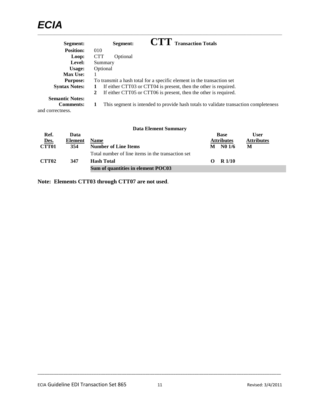| Segment:               | <b>CTT</b> Transaction Totals<br>Segment:                                            |
|------------------------|--------------------------------------------------------------------------------------|
| <b>Position:</b>       | 010                                                                                  |
| Loop:                  | <b>CTT</b><br>Optional                                                               |
| Level:                 | Summary                                                                              |
| Usage:                 | Optional                                                                             |
| <b>Max Use:</b>        |                                                                                      |
| <b>Purpose:</b>        | To transmit a hash total for a specific element in the transaction set               |
| <b>Syntax Notes:</b>   | If either CTT03 or CTT04 is present, then the other is required.                     |
|                        | If either CTT05 or CTT06 is present, then the other is required.<br>2                |
| <b>Semantic Notes:</b> |                                                                                      |
| <b>Comments:</b>       | This segment is intended to provide hash totals to validate transaction completeness |
| and correctness.       |                                                                                      |

| <b>Data Element Summary</b> |                |                                                   |   |                   |                   |  |  |
|-----------------------------|----------------|---------------------------------------------------|---|-------------------|-------------------|--|--|
| Ref.                        | Data           |                                                   |   | <b>Base</b>       | <b>User</b>       |  |  |
| <u>Des.</u>                 | <b>Element</b> | <b>Name</b>                                       |   | <b>Attributes</b> | <b>Attributes</b> |  |  |
| <b>CTT01</b>                | 354            | <b>Number of Line Items</b>                       | М | N01/6             | M                 |  |  |
|                             |                | Total number of line items in the transaction set |   |                   |                   |  |  |
| CTT <sub>02</sub>           | 347            | <b>Hash Total</b>                                 |   | R <sub>1/10</sub> |                   |  |  |
|                             |                | Sum of quantities in element POC03                |   |                   |                   |  |  |

**Note: Elements CTT03 through CTT07 are not used**.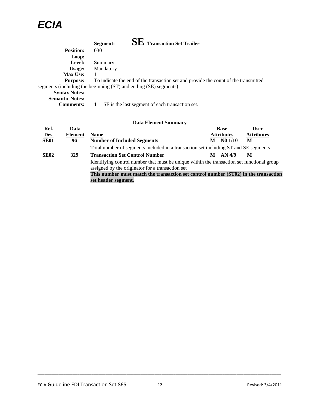|                                                                  | Segment:  | <b>SE</b> Transaction Set Trailer               |                                                                                     |  |
|------------------------------------------------------------------|-----------|-------------------------------------------------|-------------------------------------------------------------------------------------|--|
| <b>Position:</b>                                                 | 030       |                                                 |                                                                                     |  |
| Loop:                                                            |           |                                                 |                                                                                     |  |
| Level:                                                           | Summary   |                                                 |                                                                                     |  |
| Usage:                                                           | Mandatory |                                                 |                                                                                     |  |
| <b>Max Use:</b>                                                  |           |                                                 |                                                                                     |  |
| <b>Purpose:</b>                                                  |           |                                                 | To indicate the end of the transaction set and provide the count of the transmitted |  |
| segments (including the beginning (ST) and ending (SE) segments) |           |                                                 |                                                                                     |  |
| <b>Syntax Notes:</b>                                             |           |                                                 |                                                                                     |  |
| <b>Semantic Notes:</b>                                           |           |                                                 |                                                                                     |  |
| <b>Comments:</b>                                                 |           | SE is the last segment of each transaction set. |                                                                                     |  |

|             |                | <b>Data Element Summary</b>                                                                                                                    |   |                   |                   |
|-------------|----------------|------------------------------------------------------------------------------------------------------------------------------------------------|---|-------------------|-------------------|
| Ref.        | Data           |                                                                                                                                                |   | <b>Base</b>       | <b>User</b>       |
| Des.        | <b>Element</b> | <b>Name</b>                                                                                                                                    |   | <b>Attributes</b> | <b>Attributes</b> |
| <b>SE01</b> | 96             | <b>Number of Included Segments</b>                                                                                                             | M | N01/10            | M                 |
|             |                | Total number of segments included in a transaction set including ST and SE segments                                                            |   |                   |                   |
| <b>SE02</b> | 329            | <b>Transaction Set Control Number</b>                                                                                                          | M | AN 4/9            | M                 |
|             |                | Identifying control number that must be unique within the transaction set functional group<br>assigned by the originator for a transaction set |   |                   |                   |
|             |                | This number must match the transaction set control number (ST02) in the transaction                                                            |   |                   |                   |
|             |                | set header segment.                                                                                                                            |   |                   |                   |